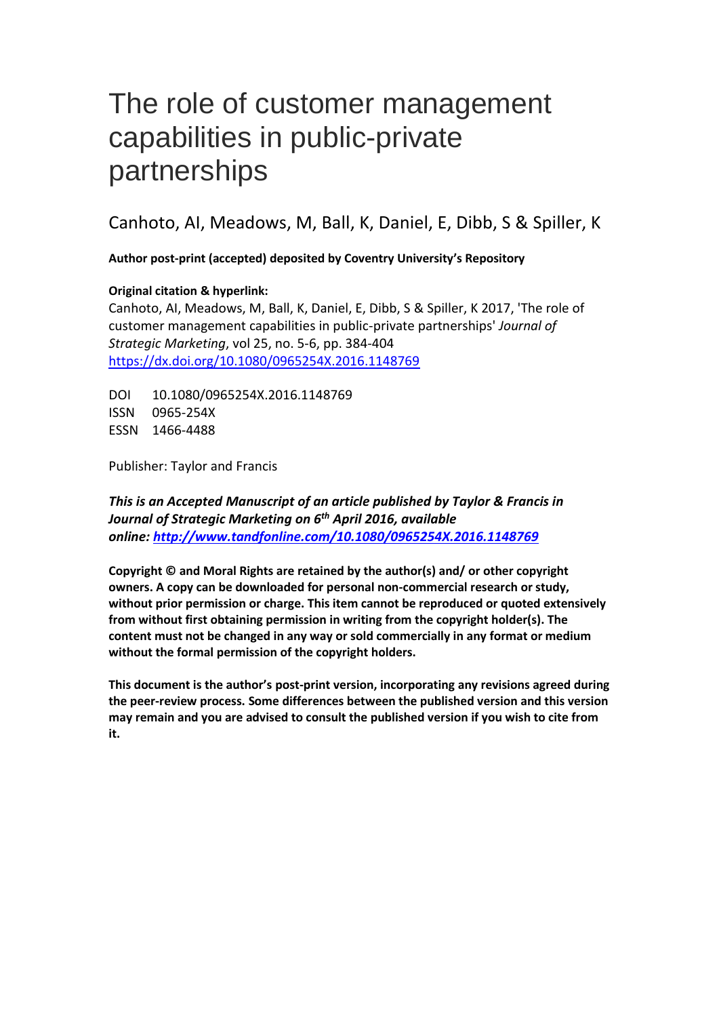# The role of customer management capabilities in public-private partnerships

Canhoto, AI, Meadows, M, Ball, K, Daniel, E, Dibb, S & Spiller, K

**Author post-print (accepted) deposited by Coventry University's Repository**

## **Original citation & hyperlink:**

Canhoto, AI, Meadows, M, Ball, K, Daniel, E, Dibb, S & Spiller, K 2017, 'The role of customer management capabilities in public-private partnerships' *Journal of Strategic Marketing*, vol 25, no. 5-6, pp. 384-404 <https://dx.doi.org/10.1080/0965254X.2016.1148769>

DOI 10.1080/0965254X.2016.1148769 ISSN 0965-254X ESSN 1466-4488

Publisher: Taylor and Francis

*This is an Accepted Manuscript of an article published by Taylor & Francis in Journal of Strategic Marketing on 6 th April 2016, available online: [http://www.tandfonline.com/10.1080/0965254X.2016.1148769](http://www.tandfonline.com/10.1080/0267257X.2014.980437)*

**Copyright © and Moral Rights are retained by the author(s) and/ or other copyright owners. A copy can be downloaded for personal non-commercial research or study, without prior permission or charge. This item cannot be reproduced or quoted extensively from without first obtaining permission in writing from the copyright holder(s). The content must not be changed in any way or sold commercially in any format or medium without the formal permission of the copyright holders.** 

**This document is the author's post-print version, incorporating any revisions agreed during the peer-review process. Some differences between the published version and this version may remain and you are advised to consult the published version if you wish to cite from it.**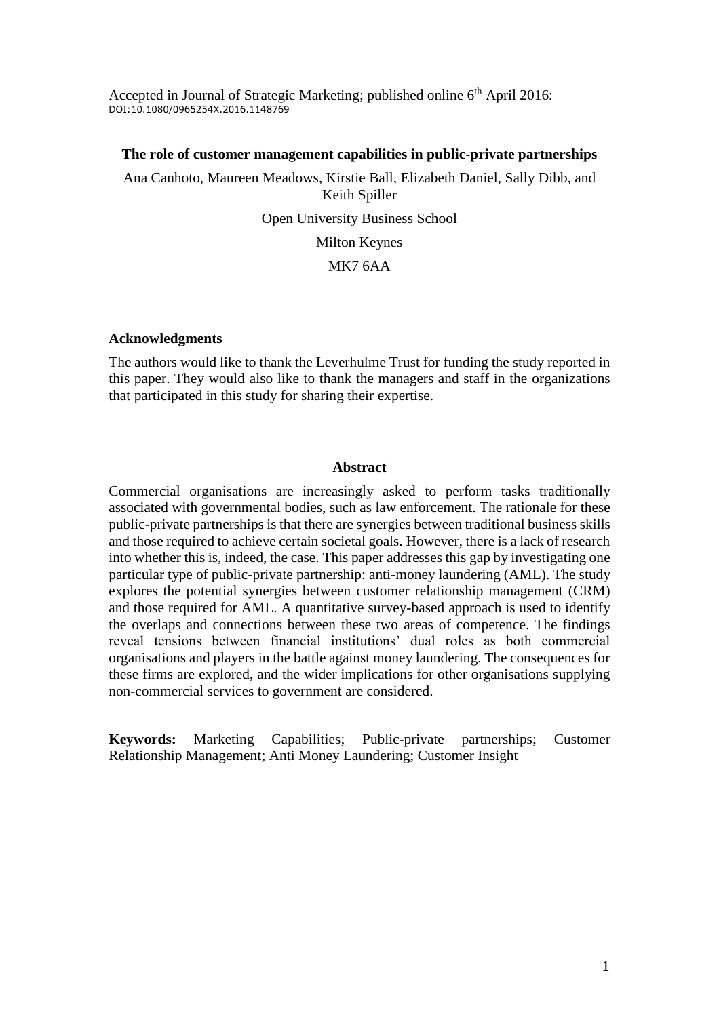Accepted in Journal of Strategic Marketing; published online 6<sup>th</sup> April 2016: DOI:10.1080/0965254X.2016.1148769

#### **The role of customer management capabilities in public-private partnerships**

Ana Canhoto, Maureen Meadows, Kirstie Ball, Elizabeth Daniel, Sally Dibb, and Keith Spiller

Open University Business School

Milton Keynes

MK7 6AA

#### **Acknowledgments**

The authors would like to thank the Leverhulme Trust for funding the study reported in this paper. They would also like to thank the managers and staff in the organizations that participated in this study for sharing their expertise.

#### **Abstract**

Commercial organisations are increasingly asked to perform tasks traditionally associated with governmental bodies, such as law enforcement. The rationale for these public-private partnerships is that there are synergies between traditional business skills and those required to achieve certain societal goals. However, there is a lack of research into whether this is, indeed, the case. This paper addresses this gap by investigating one particular type of public-private partnership: anti-money laundering (AML). The study explores the potential synergies between customer relationship management (CRM) and those required for AML. A quantitative survey-based approach is used to identify the overlaps and connections between these two areas of competence. The findings reveal tensions between financial institutions' dual roles as both commercial organisations and players in the battle against money laundering. The consequences for these firms are explored, and the wider implications for other organisations supplying non-commercial services to government are considered.

**Keywords:** Marketing Capabilities; Public-private partnerships; Customer Relationship Management; Anti Money Laundering; Customer Insight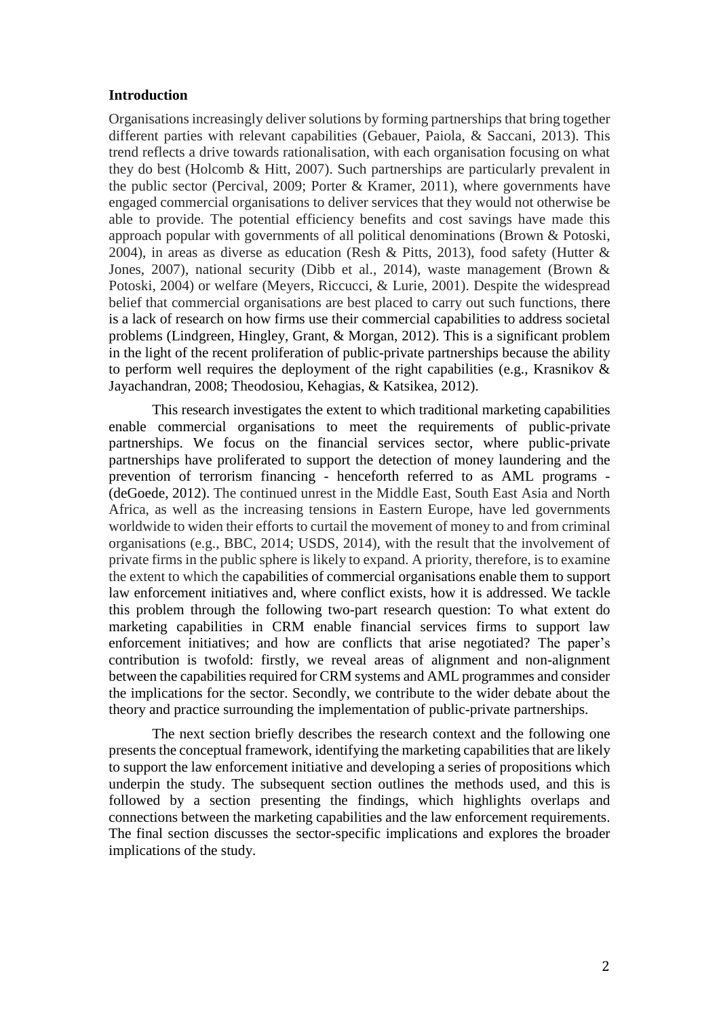#### **Introduction**

Organisations increasingly deliver solutions by forming partnerships that bring together different parties with relevant capabilities [\(Gebauer, Paiola, & Saccani, 2013\)](#page-15-0). This trend reflects a drive towards rationalisation, with each organisation focusing on what they do best [\(Holcomb & Hitt, 2007\)](#page-15-1). Such partnerships are particularly prevalent in the public sector [\(Percival, 2009;](#page-16-0) [Porter & Kramer, 2011\)](#page-16-1), where governments have engaged commercial organisations to deliver services that they would not otherwise be able to provide. The potential efficiency benefits and cost savings have made this approach popular with governments of all political denominations [\(Brown & Potoski,](#page-14-0)  [2004\)](#page-14-0), in areas as diverse as education [\(Resh & Pitts, 2013\)](#page-16-2), food safety [\(Hutter &](#page-15-2)  [Jones, 2007\)](#page-15-2), national security [\(Dibb et al., 2014\)](#page-15-3), waste management [\(Brown &](#page-14-0)  [Potoski, 2004\)](#page-14-0) or welfare [\(Meyers, Riccucci, & Lurie, 2001\)](#page-16-3). Despite the widespread belief that commercial organisations are best placed to carry out such functions, there is a lack of research on how firms use their commercial capabilities to address societal problems [\(Lindgreen, Hingley, Grant, & Morgan, 2012\)](#page-16-4). This is a significant problem in the light of the recent proliferation of public-private partnerships because the ability to perform well requires the deployment of the right capabilities (e.g., [Krasnikov &](#page-16-5)  [Jayachandran, 2008;](#page-16-5) [Theodosiou, Kehagias, & Katsikea, 2012\)](#page-17-0).

This research investigates the extent to which traditional marketing capabilities enable commercial organisations to meet the requirements of public-private partnerships. We focus on the financial services sector, where public-private partnerships have proliferated to support the detection of money laundering and the prevention of terrorism financing - henceforth referred to as AML programs - [\(deGoede, 2012\)](#page-15-4). The continued unrest in the Middle East, South East Asia and North Africa, as well as the increasing tensions in Eastern Europe, have led governments worldwide to widen their efforts to curtail the movement of money to and from criminal organisations (e.g., [BBC, 2014;](#page-14-1) [USDS, 2014\)](#page-17-1), with the result that the involvement of private firms in the public sphere is likely to expand. A priority, therefore, is to examine the extent to which the capabilities of commercial organisations enable them to support law enforcement initiatives and, where conflict exists, how it is addressed. We tackle this problem through the following two-part research question: To what extent do marketing capabilities in CRM enable financial services firms to support law enforcement initiatives; and how are conflicts that arise negotiated? The paper's contribution is twofold: firstly, we reveal areas of alignment and non-alignment between the capabilities required for CRM systems and AML programmes and consider the implications for the sector. Secondly, we contribute to the wider debate about the theory and practice surrounding the implementation of public-private partnerships.

The next section briefly describes the research context and the following one presents the conceptual framework, identifying the marketing capabilities that are likely to support the law enforcement initiative and developing a series of propositions which underpin the study. The subsequent section outlines the methods used, and this is followed by a section presenting the findings, which highlights overlaps and connections between the marketing capabilities and the law enforcement requirements. The final section discusses the sector-specific implications and explores the broader implications of the study.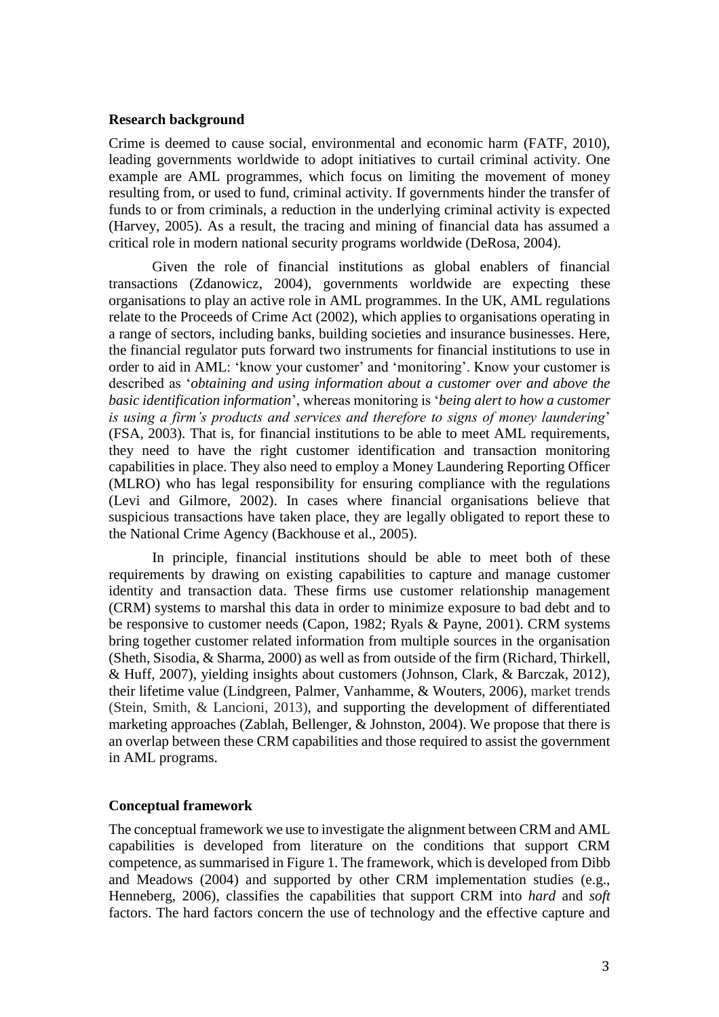#### **Research background**

Crime is deemed to cause social, environmental and economic harm [\(FATF, 2010\)](#page-15-5), leading governments worldwide to adopt initiatives to curtail criminal activity. One example are AML programmes, which focus on limiting the movement of money resulting from, or used to fund, criminal activity. If governments hinder the transfer of funds to or from criminals, a reduction in the underlying criminal activity is expected [\(Harvey, 2005\)](#page-15-6). As a result, the tracing and mining of financial data has assumed a critical role in modern national security programs worldwide [\(DeRosa, 2004\)](#page-15-7).

Given the role of financial institutions as global enablers of financial transactions [\(Zdanowicz, 2004\)](#page-17-2), governments worldwide are expecting these organisations to play an active role in AML programmes. In the UK, AML regulations relate to the Proceeds of Crime Act (2002), which applies to organisations operating in a range of sectors, including banks, building societies and insurance businesses. Here, the financial regulator puts forward two instruments for financial institutions to use in order to aid in AML: 'know your customer' and 'monitoring'. Know your customer is described as '*obtaining and using information about a customer over and above the basic identification information*', whereas monitoring is '*being alert to how a customer is using a firm's products and services and therefore to signs of money laundering*' [\(FSA, 2003\)](#page-15-8). That is, for financial institutions to be able to meet AML requirements, they need to have the right customer identification and transaction monitoring capabilities in place. They also need to employ a Money Laundering Reporting Officer (MLRO) who has legal responsibility for ensuring compliance with the regulations (Levi and Gilmore, 2002). In cases where financial organisations believe that suspicious transactions have taken place, they are legally obligated to report these to the National Crime Agency (Backhouse et al., 2005).

In principle, financial institutions should be able to meet both of these requirements by drawing on existing capabilities to capture and manage customer identity and transaction data. These firms use customer relationship management (CRM) systems to marshal this data in order to minimize exposure to bad debt and to be responsive to customer needs [\(Capon, 1982;](#page-14-2) [Ryals & Payne, 2001\)](#page-17-3). CRM systems bring together customer related information from multiple sources in the organisation [\(Sheth, Sisodia, & Sharma, 2000\)](#page-17-4) as well as from outside of the firm [\(Richard, Thirkell,](#page-16-6)  [& Huff, 2007\)](#page-16-6), yielding insights about customers [\(Johnson, Clark, & Barczak, 2012\)](#page-15-9), their lifetime value [\(Lindgreen, Palmer, Vanhamme, & Wouters, 2006\)](#page-16-7), market trends [\(Stein, Smith, & Lancioni, 2013\)](#page-17-5), and supporting the development of differentiated marketing approaches [\(Zablah, Bellenger, & Johnston, 2004\)](#page-17-6). We propose that there is an overlap between these CRM capabilities and those required to assist the government in AML programs.

## **Conceptual framework**

The conceptual framework we use to investigate the alignment between CRM and AML capabilities is developed from literature on the conditions that support CRM competence, as summarised in Figure 1. The framework, which is developed from [Dibb](#page-15-10)  and Meadows (2004) and supported by other CRM implementation studies [\(e.g.,](#page-15-11)  [Henneberg, 2006\)](#page-15-11), classifies the capabilities that support CRM into *hard* and *soft*  factors. The hard factors concern the use of technology and the effective capture and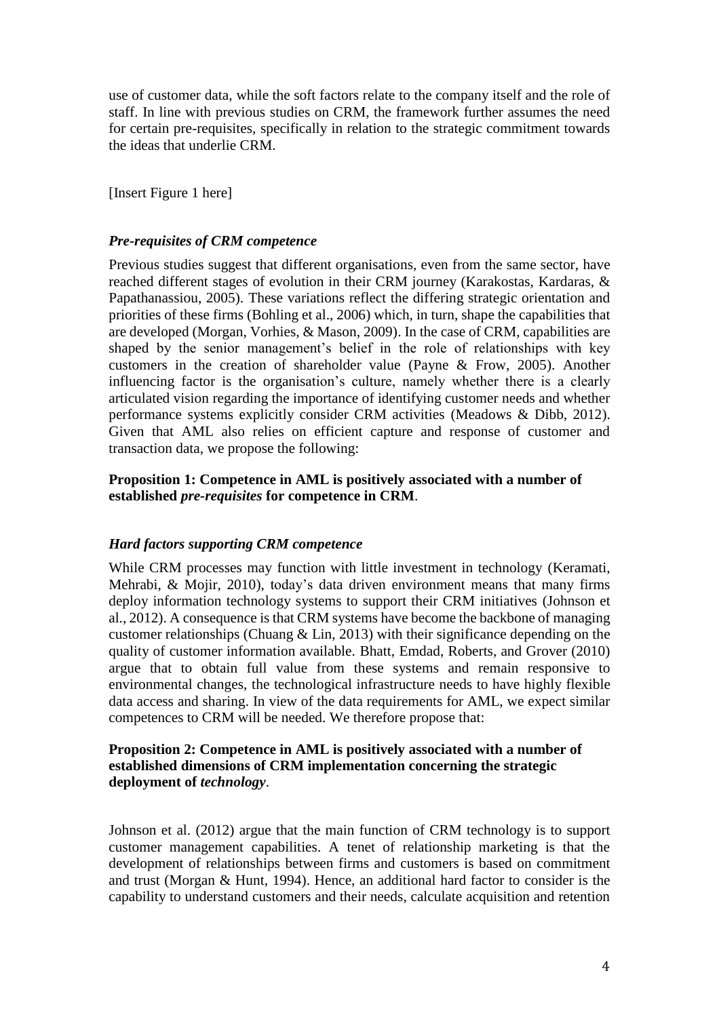use of customer data, while the soft factors relate to the company itself and the role of staff. In line with previous studies on CRM, the framework further assumes the need for certain pre-requisites, specifically in relation to the strategic commitment towards the ideas that underlie CRM.

[Insert Figure 1 here]

## *Pre-requisites of CRM competence*

Previous studies suggest that different organisations, even from the same sector, have reached different stages of evolution in their CRM journey [\(Karakostas, Kardaras, &](#page-15-12)  [Papathanassiou, 2005\)](#page-15-12). These variations reflect the differing strategic orientation and priorities of these firms [\(Bohling et al., 2006\)](#page-14-3) which, in turn, shape the capabilities that are developed (Morgan, Vorhies, & Mason, 2009). In the case of CRM, capabilities are shaped by the senior management's belief in the role of relationships with key customers in the creation of shareholder value [\(Payne & Frow, 2005\)](#page-16-8). Another influencing factor is the organisation's culture, namely whether there is a clearly articulated vision regarding the importance of identifying customer needs and whether performance systems explicitly consider CRM activities [\(Meadows & Dibb, 2012\)](#page-16-9). Given that AML also relies on efficient capture and response of customer and transaction data, we propose the following:

## **Proposition 1: Competence in AML is positively associated with a number of established** *pre-requisites* **for competence in CRM**.

## *Hard factors supporting CRM competence*

While CRM processes may function with little investment in technology [\(Keramati,](#page-15-13)  [Mehrabi, & Mojir, 2010\)](#page-15-13), today's data driven environment means that many firms deploy information technology systems to support their CRM initiatives [\(Johnson et](#page-15-9)  [al., 2012\)](#page-15-9). A consequence is that CRM systems have become the backbone of managing customer relationships [\(Chuang & Lin, 2013\)](#page-14-4) with their significance depending on the quality of customer information available. [Bhatt, Emdad, Roberts, and Grover \(2010\)](#page-14-5) argue that to obtain full value from these systems and remain responsive to environmental changes, the technological infrastructure needs to have highly flexible data access and sharing. In view of the data requirements for AML, we expect similar competences to CRM will be needed. We therefore propose that:

## **Proposition 2: Competence in AML is positively associated with a number of established dimensions of CRM implementation concerning the strategic deployment of** *technology*.

[Johnson et al. \(2012\)](#page-15-9) argue that the main function of CRM technology is to support customer management capabilities. A tenet of relationship marketing is that the development of relationships between firms and customers is based on commitment and trust (Morgan & Hunt, 1994). Hence, an additional hard factor to consider is the capability to understand customers and their needs, calculate acquisition and retention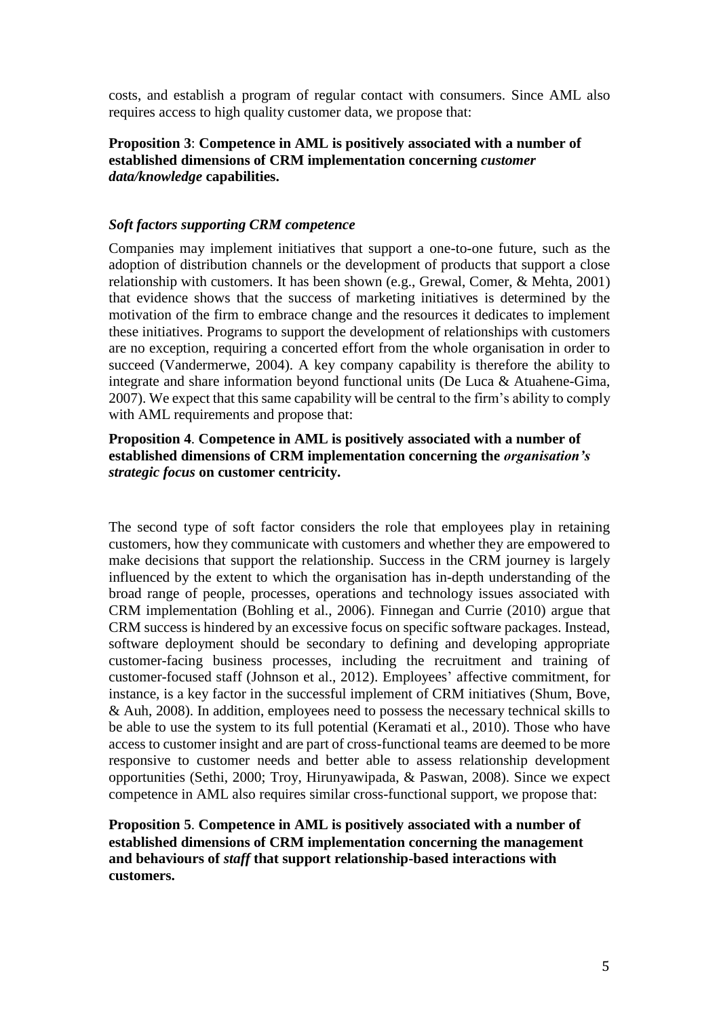costs, and establish a program of regular contact with consumers. Since AML also requires access to high quality customer data, we propose that:

## **Proposition 3**: **Competence in AML is positively associated with a number of established dimensions of CRM implementation concerning** *customer data/knowledge* **capabilities.**

## *Soft factors supporting CRM competence*

Companies may implement initiatives that support a one-to-one future, such as the adoption of distribution channels or the development of products that support a close relationship with customers. It has been shown [\(e.g., Grewal, Comer, & Mehta, 2001\)](#page-15-14) that evidence shows that the success of marketing initiatives is determined by the motivation of the firm to embrace change and the resources it dedicates to implement these initiatives. Programs to support the development of relationships with customers are no exception, requiring a concerted effort from the whole organisation in order to succeed [\(Vandermerwe, 2004\)](#page-17-7). A key company capability is therefore the ability to integrate and share information beyond functional units [\(De Luca & Atuahene-Gima,](#page-15-15)  [2007\)](#page-15-15). We expect that this same capability will be central to the firm's ability to comply with AML requirements and propose that:

## **Proposition 4**. **Competence in AML is positively associated with a number of established dimensions of CRM implementation concerning the** *organisation's strategic focus* **on customer centricity.**

The second type of soft factor considers the role that employees play in retaining customers, how they communicate with customers and whether they are empowered to make decisions that support the relationship. Success in the CRM journey is largely influenced by the extent to which the organisation has in-depth understanding of the broad range of people, processes, operations and technology issues associated with CRM implementation [\(Bohling et al., 2006\)](#page-14-3). [Finnegan and Currie \(2010\)](#page-15-16) argue that CRM success is hindered by an excessive focus on specific software packages. Instead, software deployment should be secondary to defining and developing appropriate customer-facing business processes, including the recruitment and training of customer-focused staff [\(Johnson et al., 2012\)](#page-15-9). Employees' affective commitment, for instance, is a key factor in the successful implement of CRM initiatives [\(Shum, Bove,](#page-17-8)  [& Auh, 2008\)](#page-17-8). In addition, employees need to possess the necessary technical skills to be able to use the system to its full potential [\(Keramati et al., 2010\)](#page-15-13). Those who have access to customer insight and are part of cross-functional teams are deemed to be more responsive to customer needs and better able to assess relationship development opportunities [\(Sethi, 2000;](#page-17-9) [Troy, Hirunyawipada, & Paswan, 2008\)](#page-17-10). Since we expect competence in AML also requires similar cross-functional support, we propose that:

**Proposition 5**. **Competence in AML is positively associated with a number of established dimensions of CRM implementation concerning the management and behaviours of** *staff* **that support relationship-based interactions with customers.**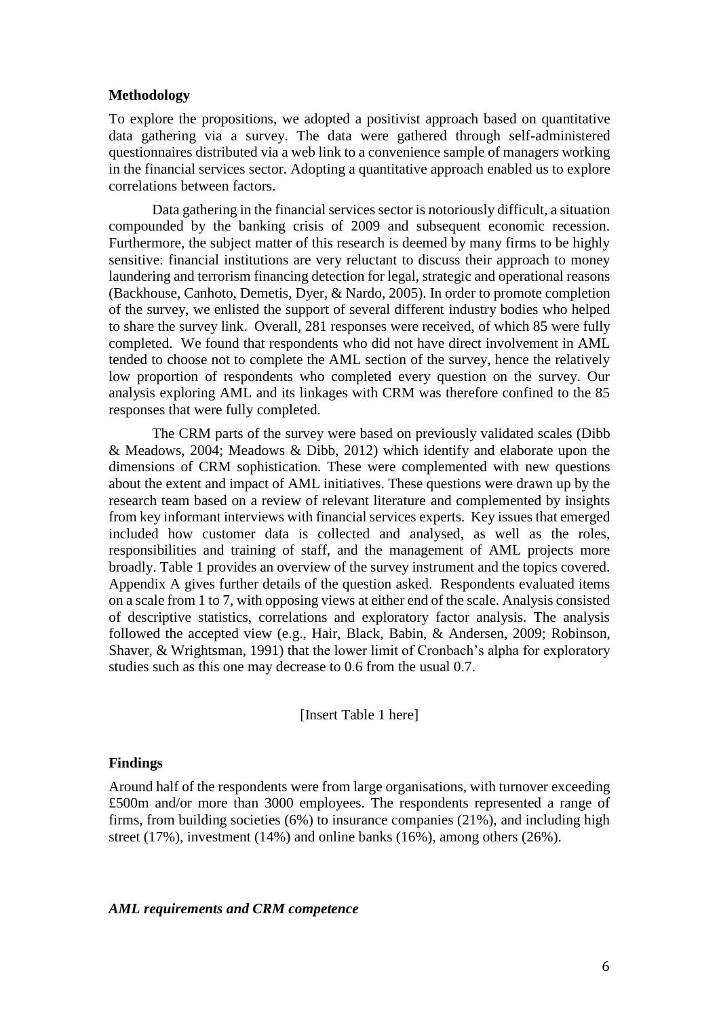#### **Methodology**

To explore the propositions, we adopted a positivist approach based on quantitative data gathering via a survey. The data were gathered through self-administered questionnaires distributed via a web link to a convenience sample of managers working in the financial services sector. Adopting a quantitative approach enabled us to explore correlations between factors.

Data gathering in the financial services sector is notoriously difficult, a situation compounded by the banking crisis of 2009 and subsequent economic recession. Furthermore, the subject matter of this research is deemed by many firms to be highly sensitive: financial institutions are very reluctant to discuss their approach to money laundering and terrorism financing detection for legal, strategic and operational reasons [\(Backhouse, Canhoto, Demetis, Dyer, & Nardo, 2005\)](#page-14-6). In order to promote completion of the survey, we enlisted the support of several different industry bodies who helped to share the survey link. Overall, 281 responses were received, of which 85 were fully completed. We found that respondents who did not have direct involvement in AML tended to choose not to complete the AML section of the survey, hence the relatively low proportion of respondents who completed every question on the survey. Our analysis exploring AML and its linkages with CRM was therefore confined to the 85 responses that were fully completed.

The CRM parts of the survey were based on previously validated scales [\(Dibb](#page-15-10)  [& Meadows, 2004;](#page-15-10) [Meadows & Dibb, 2012\)](#page-16-9) which identify and elaborate upon the dimensions of CRM sophistication. These were complemented with new questions about the extent and impact of AML initiatives. These questions were drawn up by the research team based on a review of relevant literature and complemented by insights from key informant interviews with financial services experts. Key issues that emerged included how customer data is collected and analysed, as well as the roles, responsibilities and training of staff, and the management of AML projects more broadly. Table 1 provides an overview of the survey instrument and the topics covered. Appendix A gives further details of the question asked. Respondents evaluated items on a scale from 1 to 7, with opposing views at either end of the scale. Analysis consisted of descriptive statistics, correlations and exploratory factor analysis. The analysis followed the accepted view (e.g., [Hair, Black, Babin, & Andersen, 2009;](#page-15-17) [Robinson,](#page-17-11)  [Shaver, & Wrightsman, 1991\)](#page-17-11) that the lower limit of Cronbach's alpha for exploratory studies such as this one may decrease to 0.6 from the usual 0.7.

[Insert Table 1 here]

#### **Findings**

Around half of the respondents were from large organisations, with turnover exceeding £500m and/or more than 3000 employees. The respondents represented a range of firms, from building societies (6%) to insurance companies (21%), and including high street (17%), investment (14%) and online banks (16%), among others (26%).

#### *AML requirements and CRM competence*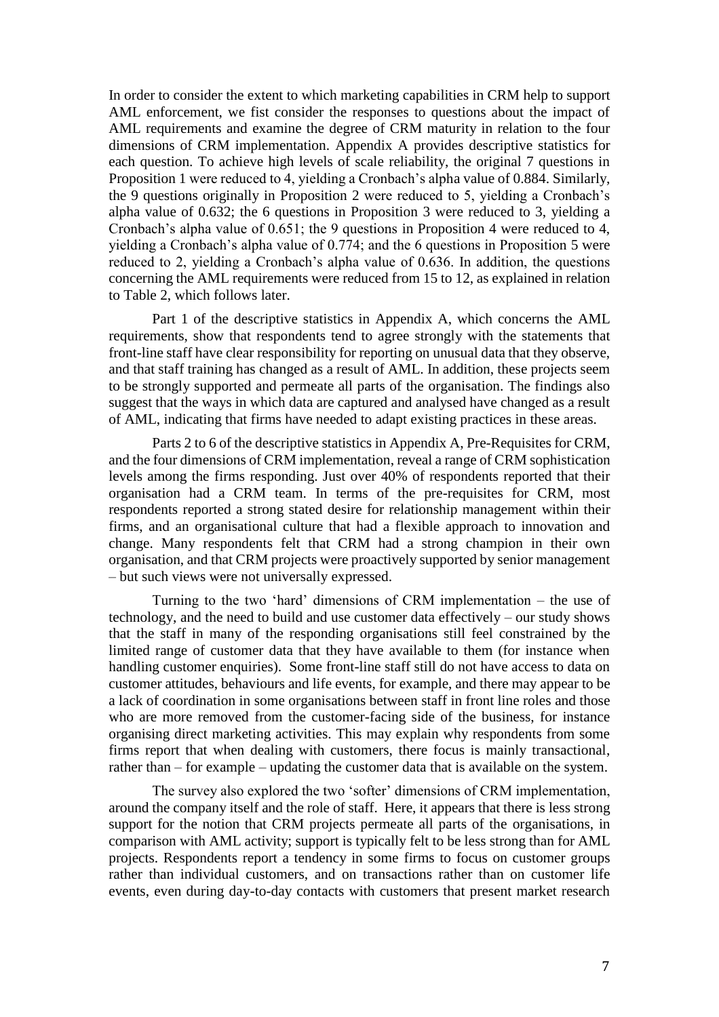In order to consider the extent to which marketing capabilities in CRM help to support AML enforcement, we fist consider the responses to questions about the impact of AML requirements and examine the degree of CRM maturity in relation to the four dimensions of CRM implementation. Appendix A provides descriptive statistics for each question. To achieve high levels of scale reliability, the original 7 questions in Proposition 1 were reduced to 4, yielding a Cronbach's alpha value of 0.884. Similarly, the 9 questions originally in Proposition 2 were reduced to 5, yielding a Cronbach's alpha value of 0.632; the 6 questions in Proposition 3 were reduced to 3, yielding a Cronbach's alpha value of 0.651; the 9 questions in Proposition 4 were reduced to 4, yielding a Cronbach's alpha value of 0.774; and the 6 questions in Proposition 5 were reduced to 2, yielding a Cronbach's alpha value of 0.636. In addition, the questions concerning the AML requirements were reduced from 15 to 12, as explained in relation to Table 2, which follows later.

Part 1 of the descriptive statistics in Appendix A, which concerns the AML requirements, show that respondents tend to agree strongly with the statements that front-line staff have clear responsibility for reporting on unusual data that they observe, and that staff training has changed as a result of AML. In addition, these projects seem to be strongly supported and permeate all parts of the organisation. The findings also suggest that the ways in which data are captured and analysed have changed as a result of AML, indicating that firms have needed to adapt existing practices in these areas.

Parts 2 to 6 of the descriptive statistics in Appendix A, Pre-Requisites for CRM, and the four dimensions of CRM implementation, reveal a range of CRM sophistication levels among the firms responding. Just over 40% of respondents reported that their organisation had a CRM team. In terms of the pre-requisites for CRM, most respondents reported a strong stated desire for relationship management within their firms, and an organisational culture that had a flexible approach to innovation and change. Many respondents felt that CRM had a strong champion in their own organisation, and that CRM projects were proactively supported by senior management – but such views were not universally expressed.

Turning to the two 'hard' dimensions of CRM implementation – the use of technology, and the need to build and use customer data effectively – our study shows that the staff in many of the responding organisations still feel constrained by the limited range of customer data that they have available to them (for instance when handling customer enquiries). Some front-line staff still do not have access to data on customer attitudes, behaviours and life events, for example, and there may appear to be a lack of coordination in some organisations between staff in front line roles and those who are more removed from the customer-facing side of the business, for instance organising direct marketing activities. This may explain why respondents from some firms report that when dealing with customers, there focus is mainly transactional, rather than – for example – updating the customer data that is available on the system.

The survey also explored the two 'softer' dimensions of CRM implementation, around the company itself and the role of staff. Here, it appears that there is less strong support for the notion that CRM projects permeate all parts of the organisations, in comparison with AML activity; support is typically felt to be less strong than for AML projects. Respondents report a tendency in some firms to focus on customer groups rather than individual customers, and on transactions rather than on customer life events, even during day-to-day contacts with customers that present market research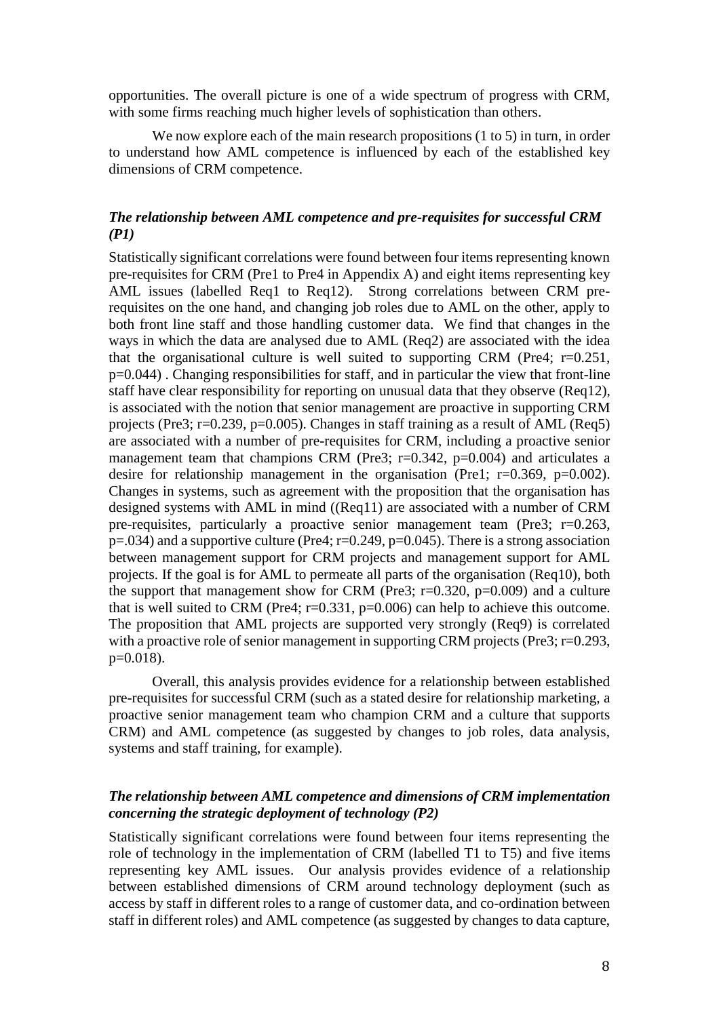opportunities. The overall picture is one of a wide spectrum of progress with CRM, with some firms reaching much higher levels of sophistication than others.

We now explore each of the main research propositions (1 to 5) in turn, in order to understand how AML competence is influenced by each of the established key dimensions of CRM competence.

## *The relationship between AML competence and pre-requisites for successful CRM (P1)*

Statistically significant correlations were found between four items representing known pre-requisites for CRM (Pre1 to Pre4 in Appendix A) and eight items representing key AML issues (labelled Req1 to Req12). Strong correlations between CRM prerequisites on the one hand, and changing job roles due to AML on the other, apply to both front line staff and those handling customer data. We find that changes in the ways in which the data are analysed due to AML (Req2) are associated with the idea that the organisational culture is well suited to supporting CRM (Pre4;  $r=0.251$ , p=0.044) . Changing responsibilities for staff, and in particular the view that front-line staff have clear responsibility for reporting on unusual data that they observe (Req12), is associated with the notion that senior management are proactive in supporting CRM projects (Pre3; r=0.239, p=0.005). Changes in staff training as a result of AML (Req5) are associated with a number of pre-requisites for CRM, including a proactive senior management team that champions CRM (Pre3; r=0.342, p=0.004) and articulates a desire for relationship management in the organisation (Pre1;  $r=0.369$ ,  $p=0.002$ ). Changes in systems, such as agreement with the proposition that the organisation has designed systems with AML in mind ((Req11) are associated with a number of CRM pre-requisites, particularly a proactive senior management team (Pre3;  $r=0.263$ ,  $p=.034$ ) and a supportive culture (Pre4; r=0.249, p=0.045). There is a strong association between management support for CRM projects and management support for AML projects. If the goal is for AML to permeate all parts of the organisation (Req10), both the support that management show for CRM (Pre3;  $r=0.320$ ,  $p=0.009$ ) and a culture that is well suited to CRM (Pre4;  $r=0.331$ ,  $p=0.006$ ) can help to achieve this outcome. The proposition that AML projects are supported very strongly (Req9) is correlated with a proactive role of senior management in supporting CRM projects (Pre3; r=0.293,  $p=0.018$ ).

Overall, this analysis provides evidence for a relationship between established pre-requisites for successful CRM (such as a stated desire for relationship marketing, a proactive senior management team who champion CRM and a culture that supports CRM) and AML competence (as suggested by changes to job roles, data analysis, systems and staff training, for example).

## *The relationship between AML competence and dimensions of CRM implementation concerning the strategic deployment of technology (P2)*

Statistically significant correlations were found between four items representing the role of technology in the implementation of CRM (labelled T1 to T5) and five items representing key AML issues. Our analysis provides evidence of a relationship between established dimensions of CRM around technology deployment (such as access by staff in different roles to a range of customer data, and co-ordination between staff in different roles) and AML competence (as suggested by changes to data capture,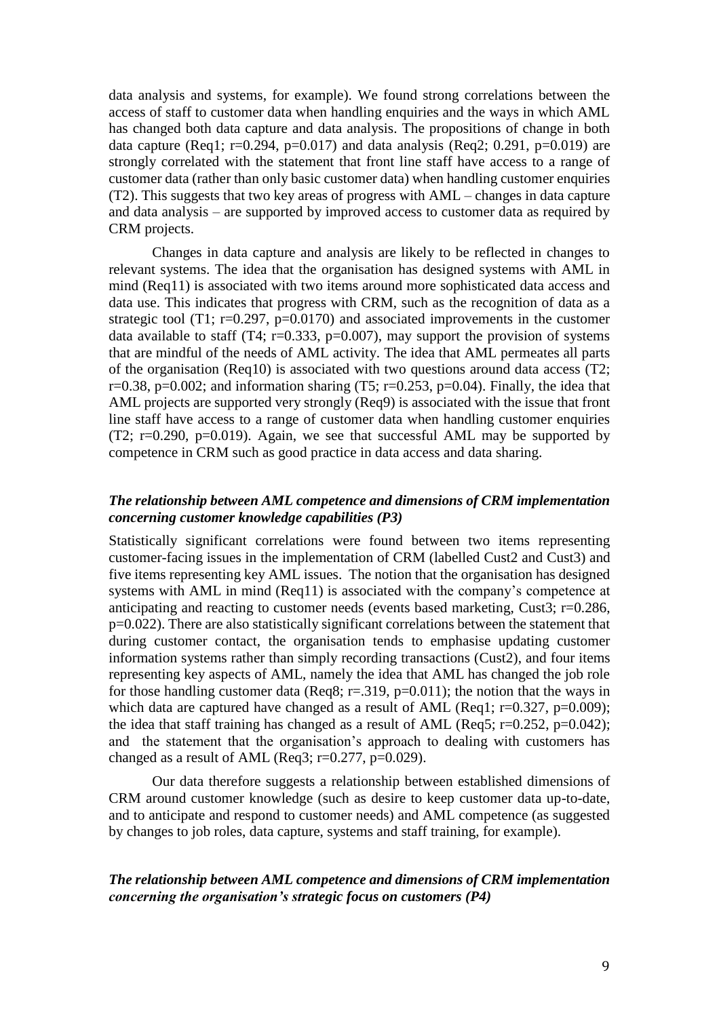data analysis and systems, for example). We found strong correlations between the access of staff to customer data when handling enquiries and the ways in which AML has changed both data capture and data analysis. The propositions of change in both data capture (Req1; r=0.294, p=0.017) and data analysis (Req2; 0.291, p=0.019) are strongly correlated with the statement that front line staff have access to a range of customer data (rather than only basic customer data) when handling customer enquiries (T2). This suggests that two key areas of progress with AML – changes in data capture and data analysis – are supported by improved access to customer data as required by CRM projects.

Changes in data capture and analysis are likely to be reflected in changes to relevant systems. The idea that the organisation has designed systems with AML in mind (Req11) is associated with two items around more sophisticated data access and data use. This indicates that progress with CRM, such as the recognition of data as a strategic tool (T1;  $r=0.297$ ,  $p=0.0170$ ) and associated improvements in the customer data available to staff (T4;  $r=0.333$ ,  $p=0.007$ ), may support the provision of systems that are mindful of the needs of AML activity. The idea that AML permeates all parts of the organisation (Req10) is associated with two questions around data access (T2; r=0.38, p=0.002; and information sharing  $(T5; r=0.253, p=0.04)$ . Finally, the idea that AML projects are supported very strongly (Req9) is associated with the issue that front line staff have access to a range of customer data when handling customer enquiries  $(T2; r=0.290, p=0.019)$ . Again, we see that successful AML may be supported by competence in CRM such as good practice in data access and data sharing.

## *The relationship between AML competence and dimensions of CRM implementation concerning customer knowledge capabilities (P3)*

Statistically significant correlations were found between two items representing customer-facing issues in the implementation of CRM (labelled Cust2 and Cust3) and five items representing key AML issues. The notion that the organisation has designed systems with AML in mind (Req11) is associated with the company's competence at anticipating and reacting to customer needs (events based marketing, Cust3; r=0.286, p=0.022). There are also statistically significant correlations between the statement that during customer contact, the organisation tends to emphasise updating customer information systems rather than simply recording transactions (Cust2), and four items representing key aspects of AML, namely the idea that AML has changed the job role for those handling customer data (Req8;  $r = .319$ ,  $p = 0.011$ ); the notion that the ways in which data are captured have changed as a result of AML (Req1;  $r=0.327$ ,  $p=0.009$ ); the idea that staff training has changed as a result of AML (Req5;  $r=0.252$ ,  $p=0.042$ ); and the statement that the organisation's approach to dealing with customers has changed as a result of AML (Req3;  $r=0.277$ ,  $p=0.029$ ).

Our data therefore suggests a relationship between established dimensions of CRM around customer knowledge (such as desire to keep customer data up-to-date, and to anticipate and respond to customer needs) and AML competence (as suggested by changes to job roles, data capture, systems and staff training, for example).

## *The relationship between AML competence and dimensions of CRM implementation concerning the organisation's strategic focus on customers (P4)*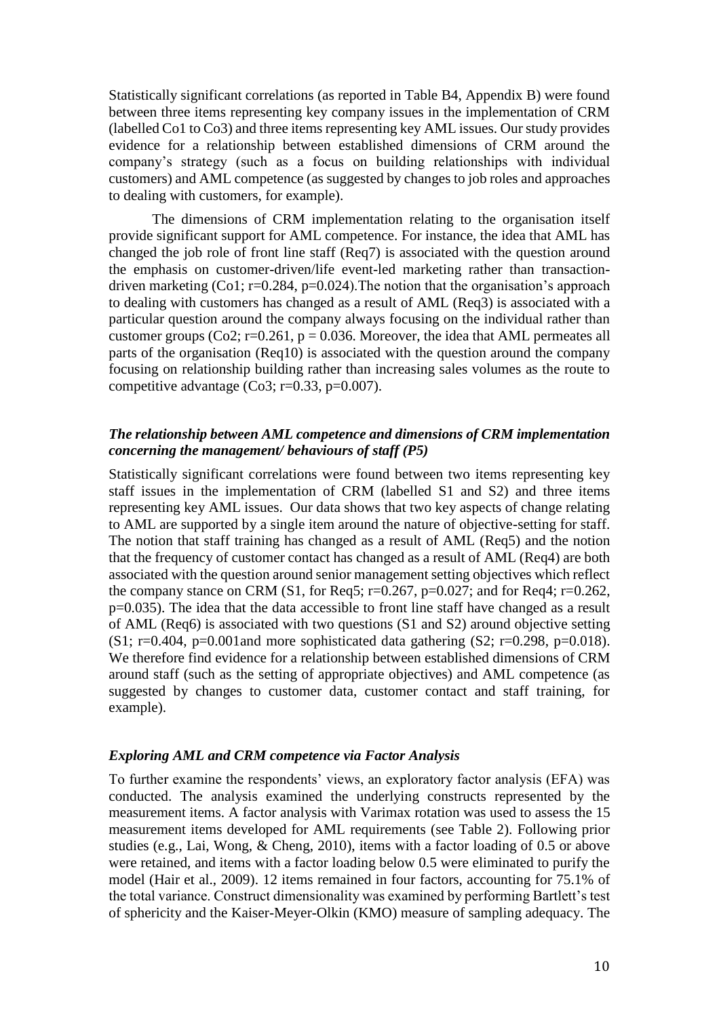Statistically significant correlations (as reported in Table B4, Appendix B) were found between three items representing key company issues in the implementation of CRM (labelled Co1 to Co3) and three items representing key AML issues. Our study provides evidence for a relationship between established dimensions of CRM around the company's strategy (such as a focus on building relationships with individual customers) and AML competence (as suggested by changes to job roles and approaches to dealing with customers, for example).

The dimensions of CRM implementation relating to the organisation itself provide significant support for AML competence. For instance, the idea that AML has changed the job role of front line staff (Req7) is associated with the question around the emphasis on customer-driven/life event-led marketing rather than transactiondriven marketing  $(Co1; r=0.284, p=0.024)$ . The notion that the organisation's approach to dealing with customers has changed as a result of AML (Req3) is associated with a particular question around the company always focusing on the individual rather than customer groups (Co2;  $r=0.261$ ,  $p = 0.036$ . Moreover, the idea that AML permeates all parts of the organisation (Req10) is associated with the question around the company focusing on relationship building rather than increasing sales volumes as the route to competitive advantage  $(Co3; r=0.33, p=0.007)$ .

## *The relationship between AML competence and dimensions of CRM implementation concerning the management/ behaviours of staff (P5)*

Statistically significant correlations were found between two items representing key staff issues in the implementation of CRM (labelled S1 and S2) and three items representing key AML issues. Our data shows that two key aspects of change relating to AML are supported by a single item around the nature of objective-setting for staff. The notion that staff training has changed as a result of AML (Req5) and the notion that the frequency of customer contact has changed as a result of AML (Req4) are both associated with the question around senior management setting objectives which reflect the company stance on CRM (S1, for Req5;  $r=0.267$ ,  $p=0.027$ ; and for Req4;  $r=0.262$ , p=0.035). The idea that the data accessible to front line staff have changed as a result of AML (Req6) is associated with two questions (S1 and S2) around objective setting (S1; r=0.404, p=0.001and more sophisticated data gathering (S2; r=0.298, p=0.018). We therefore find evidence for a relationship between established dimensions of CRM around staff (such as the setting of appropriate objectives) and AML competence (as suggested by changes to customer data, customer contact and staff training, for example).

#### *Exploring AML and CRM competence via Factor Analysis*

To further examine the respondents' views, an exploratory factor analysis (EFA) was conducted. The analysis examined the underlying constructs represented by the measurement items. A factor analysis with Varimax rotation was used to assess the 15 measurement items developed for AML requirements (see Table 2). Following prior studies [\(e.g., Lai, Wong, & Cheng, 2010\)](#page-16-10), items with a factor loading of 0.5 or above were retained, and items with a factor loading below 0.5 were eliminated to purify the model [\(Hair et al., 2009\)](#page-15-17). 12 items remained in four factors, accounting for 75.1% of the total variance. Construct dimensionality was examined by performing Bartlett's test of sphericity and the Kaiser-Meyer-Olkin (KMO) measure of sampling adequacy. The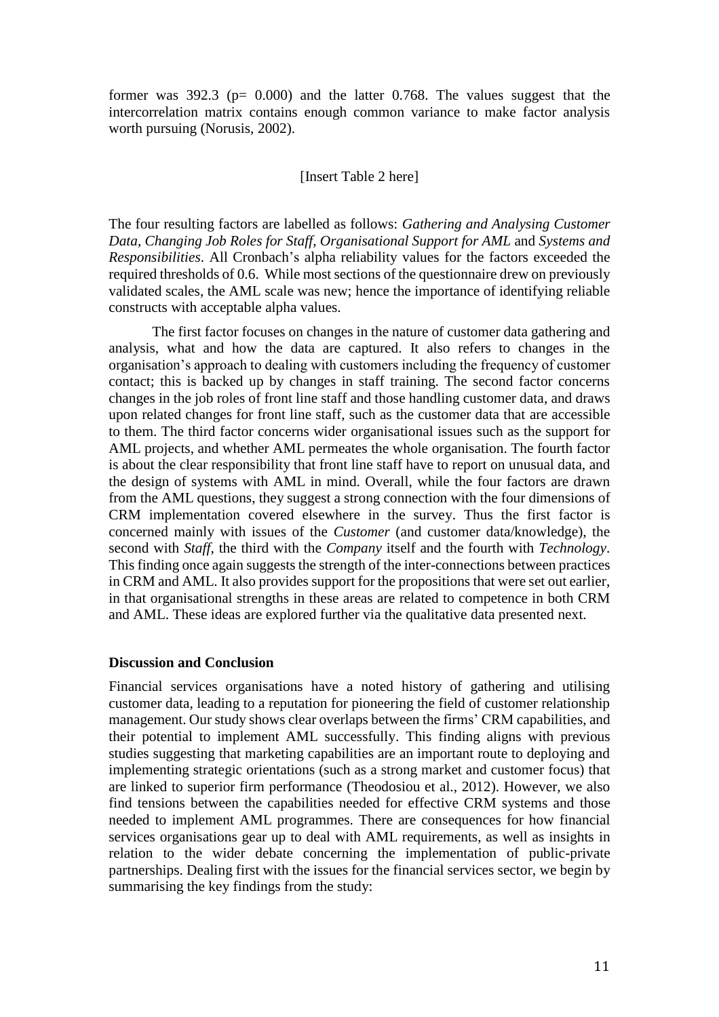former was  $392.3$  (p= 0.000) and the latter 0.768. The values suggest that the intercorrelation matrix contains enough common variance to make factor analysis worth pursuing [\(Norusis, 2002\)](#page-16-11).

#### [Insert Table 2 here]

The four resulting factors are labelled as follows: *Gathering and Analysing Customer Data*, *Changing Job Roles for Staff*, *Organisational Support for AML* and *Systems and Responsibilities*. All Cronbach's alpha reliability values for the factors exceeded the required thresholds of 0.6. While most sections of the questionnaire drew on previously validated scales, the AML scale was new; hence the importance of identifying reliable constructs with acceptable alpha values.

The first factor focuses on changes in the nature of customer data gathering and analysis, what and how the data are captured. It also refers to changes in the organisation's approach to dealing with customers including the frequency of customer contact; this is backed up by changes in staff training. The second factor concerns changes in the job roles of front line staff and those handling customer data, and draws upon related changes for front line staff, such as the customer data that are accessible to them. The third factor concerns wider organisational issues such as the support for AML projects, and whether AML permeates the whole organisation. The fourth factor is about the clear responsibility that front line staff have to report on unusual data, and the design of systems with AML in mind. Overall, while the four factors are drawn from the AML questions, they suggest a strong connection with the four dimensions of CRM implementation covered elsewhere in the survey. Thus the first factor is concerned mainly with issues of the *Customer* (and customer data/knowledge), the second with *Staff*, the third with the *Company* itself and the fourth with *Technology*. This finding once again suggests the strength of the inter-connections between practices in CRM and AML. It also provides support for the propositions that were set out earlier, in that organisational strengths in these areas are related to competence in both CRM and AML. These ideas are explored further via the qualitative data presented next.

#### **Discussion and Conclusion**

Financial services organisations have a noted history of gathering and utilising customer data, leading to a reputation for pioneering the field of customer relationship management. Our study shows clear overlaps between the firms' CRM capabilities, and their potential to implement AML successfully. This finding aligns with previous studies suggesting that marketing capabilities are an important route to deploying and implementing strategic orientations (such as a strong market and customer focus) that are linked to superior firm performance [\(Theodosiou et al., 2012\)](#page-17-0). However, we also find tensions between the capabilities needed for effective CRM systems and those needed to implement AML programmes. There are consequences for how financial services organisations gear up to deal with AML requirements, as well as insights in relation to the wider debate concerning the implementation of public-private partnerships. Dealing first with the issues for the financial services sector, we begin by summarising the key findings from the study: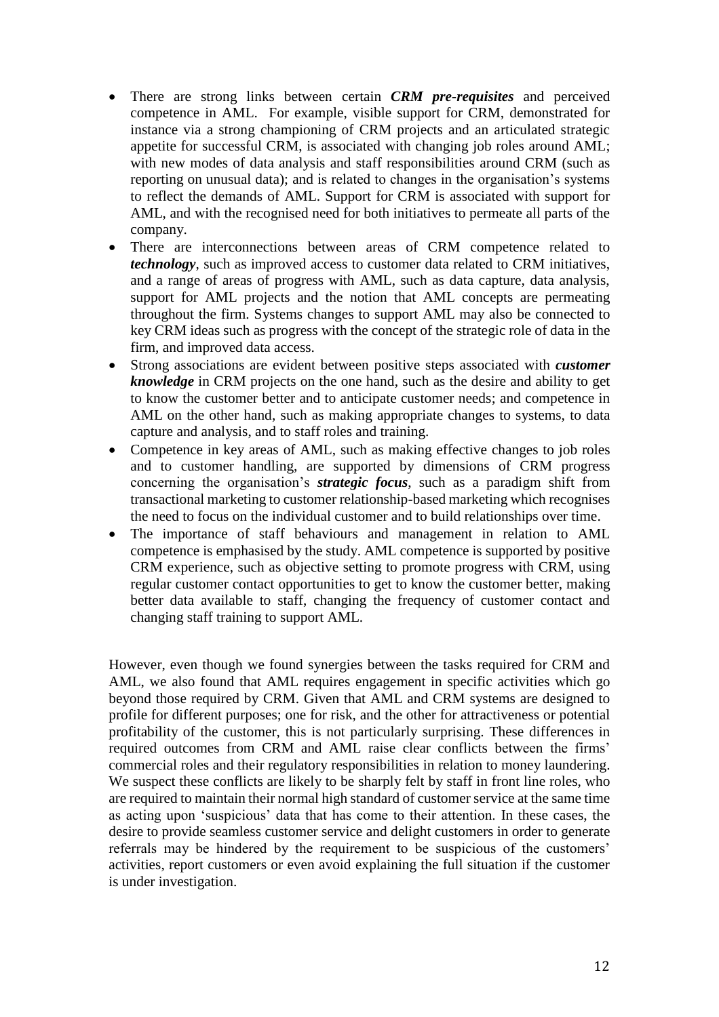- There are strong links between certain *CRM pre-requisites* and perceived competence in AML. For example, visible support for CRM, demonstrated for instance via a strong championing of CRM projects and an articulated strategic appetite for successful CRM, is associated with changing job roles around AML; with new modes of data analysis and staff responsibilities around CRM (such as reporting on unusual data); and is related to changes in the organisation's systems to reflect the demands of AML. Support for CRM is associated with support for AML, and with the recognised need for both initiatives to permeate all parts of the company.
- There are interconnections between areas of CRM competence related to *technology*, such as improved access to customer data related to CRM initiatives, and a range of areas of progress with AML, such as data capture, data analysis, support for AML projects and the notion that AML concepts are permeating throughout the firm. Systems changes to support AML may also be connected to key CRM ideas such as progress with the concept of the strategic role of data in the firm, and improved data access.
- Strong associations are evident between positive steps associated with *customer knowledge* in CRM projects on the one hand, such as the desire and ability to get to know the customer better and to anticipate customer needs; and competence in AML on the other hand, such as making appropriate changes to systems, to data capture and analysis, and to staff roles and training.
- Competence in key areas of AML, such as making effective changes to job roles and to customer handling, are supported by dimensions of CRM progress concerning the organisation's *strategic focus*, such as a paradigm shift from transactional marketing to customer relationship-based marketing which recognises the need to focus on the individual customer and to build relationships over time.
- The importance of staff behaviours and management in relation to AML competence is emphasised by the study. AML competence is supported by positive CRM experience, such as objective setting to promote progress with CRM, using regular customer contact opportunities to get to know the customer better, making better data available to staff, changing the frequency of customer contact and changing staff training to support AML.

However, even though we found synergies between the tasks required for CRM and AML, we also found that AML requires engagement in specific activities which go beyond those required by CRM. Given that AML and CRM systems are designed to profile for different purposes; one for risk, and the other for attractiveness or potential profitability of the customer, this is not particularly surprising. These differences in required outcomes from CRM and AML raise clear conflicts between the firms' commercial roles and their regulatory responsibilities in relation to money laundering. We suspect these conflicts are likely to be sharply felt by staff in front line roles, who are required to maintain their normal high standard of customer service at the same time as acting upon 'suspicious' data that has come to their attention. In these cases, the desire to provide seamless customer service and delight customers in order to generate referrals may be hindered by the requirement to be suspicious of the customers' activities, report customers or even avoid explaining the full situation if the customer is under investigation.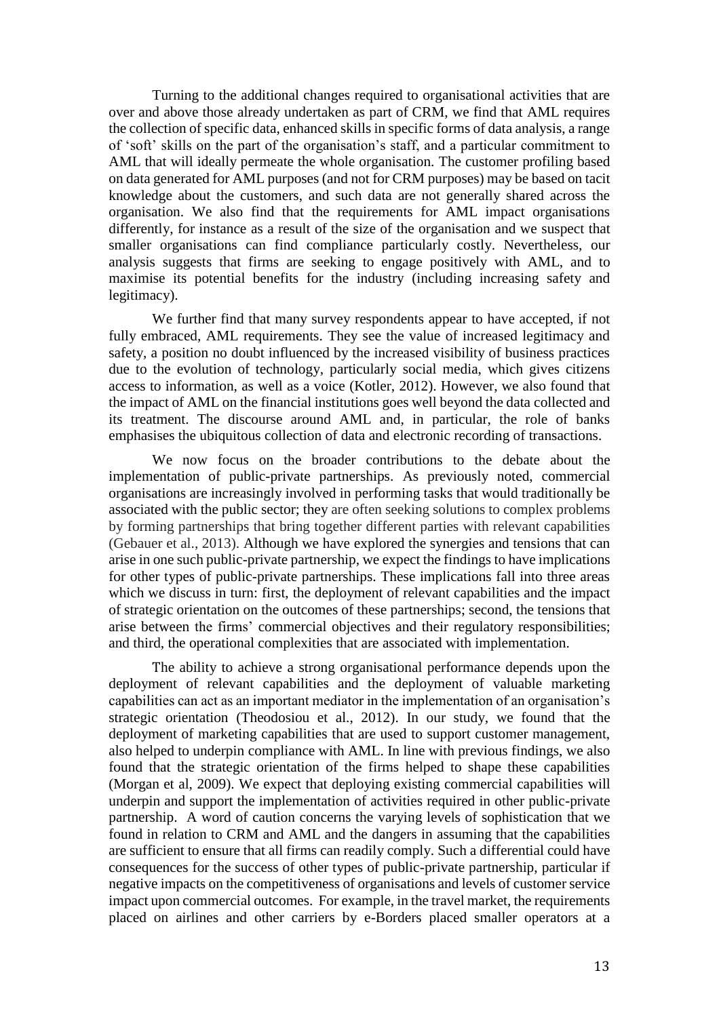Turning to the additional changes required to organisational activities that are over and above those already undertaken as part of CRM, we find that AML requires the collection of specific data, enhanced skills in specific forms of data analysis, a range of 'soft' skills on the part of the organisation's staff, and a particular commitment to AML that will ideally permeate the whole organisation. The customer profiling based on data generated for AML purposes (and not for CRM purposes) may be based on tacit knowledge about the customers, and such data are not generally shared across the organisation. We also find that the requirements for AML impact organisations differently, for instance as a result of the size of the organisation and we suspect that smaller organisations can find compliance particularly costly. Nevertheless, our analysis suggests that firms are seeking to engage positively with AML, and to maximise its potential benefits for the industry (including increasing safety and legitimacy).

We further find that many survey respondents appear to have accepted, if not fully embraced, AML requirements. They see the value of increased legitimacy and safety, a position no doubt influenced by the increased visibility of business practices due to the evolution of technology, particularly social media, which gives citizens access to information, as well as a voice [\(Kotler, 2012\)](#page-16-12). However, we also found that the impact of AML on the financial institutions goes well beyond the data collected and its treatment. The discourse around AML and, in particular, the role of banks emphasises the ubiquitous collection of data and electronic recording of transactions.

We now focus on the broader contributions to the debate about the implementation of public-private partnerships. As previously noted, commercial organisations are increasingly involved in performing tasks that would traditionally be associated with the public sector; they are often seeking solutions to complex problems by forming partnerships that bring together different parties with relevant capabilities [\(Gebauer et al., 2013\)](#page-15-0). Although we have explored the synergies and tensions that can arise in one such public-private partnership, we expect the findings to have implications for other types of public-private partnerships. These implications fall into three areas which we discuss in turn: first, the deployment of relevant capabilities and the impact of strategic orientation on the outcomes of these partnerships; second, the tensions that arise between the firms' commercial objectives and their regulatory responsibilities; and third, the operational complexities that are associated with implementation.

The ability to achieve a strong organisational performance depends upon the deployment of relevant capabilities and the deployment of valuable marketing capabilities can act as an important mediator in the implementation of an organisation's strategic orientation [\(Theodosiou et al., 2012\)](#page-17-0). In our study, we found that the deployment of marketing capabilities that are used to support customer management, also helped to underpin compliance with AML. In line with previous findings, we also found that the strategic orientation of the firms helped to shape these capabilities (Morgan et al, 2009). We expect that deploying existing commercial capabilities will underpin and support the implementation of activities required in other public-private partnership. A word of caution concerns the varying levels of sophistication that we found in relation to CRM and AML and the dangers in assuming that the capabilities are sufficient to ensure that all firms can readily comply. Such a differential could have consequences for the success of other types of public-private partnership, particular if negative impacts on the competitiveness of organisations and levels of customer service impact upon commercial outcomes. For example, in the travel market, the requirements placed on airlines and other carriers by e-Borders placed smaller operators at a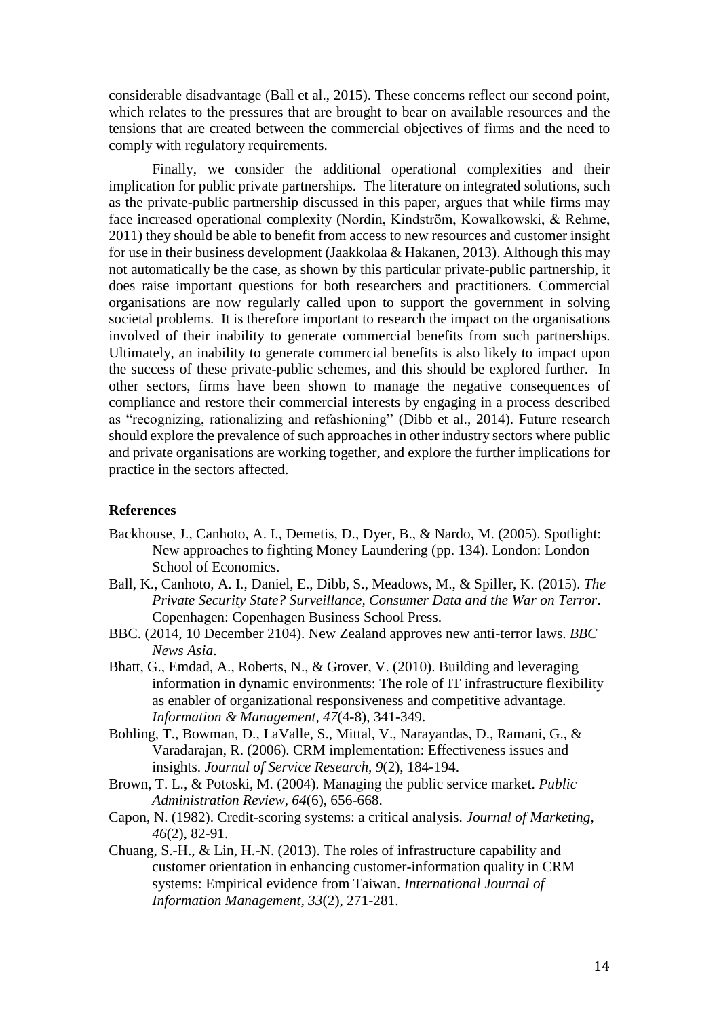considerable disadvantage [\(Ball et al., 2015\)](#page-14-7). These concerns reflect our second point, which relates to the pressures that are brought to bear on available resources and the tensions that are created between the commercial objectives of firms and the need to comply with regulatory requirements.

Finally, we consider the additional operational complexities and their implication for public private partnerships. The literature on integrated solutions, such as the private-public partnership discussed in this paper, argues that while firms may face increased operational complexity [\(Nordin, Kindström, Kowalkowski, & Rehme,](#page-16-13)  [2011\)](#page-16-13) they should be able to benefit from access to new resources and customer insight for use in their business development [\(Jaakkolaa & Hakanen, 2013\)](#page-15-18). Although this may not automatically be the case, as shown by this particular private-public partnership, it does raise important questions for both researchers and practitioners. Commercial organisations are now regularly called upon to support the government in solving societal problems. It is therefore important to research the impact on the organisations involved of their inability to generate commercial benefits from such partnerships. Ultimately, an inability to generate commercial benefits is also likely to impact upon the success of these private-public schemes, and this should be explored further. In other sectors, firms have been shown to manage the negative consequences of compliance and restore their commercial interests by engaging in a process described as "recognizing, rationalizing and refashioning" [\(Dibb et al., 2014\)](#page-15-3). Future research should explore the prevalence of such approaches in other industry sectors where public and private organisations are working together, and explore the further implications for practice in the sectors affected.

#### **References**

- <span id="page-14-6"></span>Backhouse, J., Canhoto, A. I., Demetis, D., Dyer, B., & Nardo, M. (2005). Spotlight: New approaches to fighting Money Laundering (pp. 134). London: London School of Economics.
- <span id="page-14-7"></span>Ball, K., Canhoto, A. I., Daniel, E., Dibb, S., Meadows, M., & Spiller, K. (2015). *The Private Security State? Surveillance, Consumer Data and the War on Terror*. Copenhagen: Copenhagen Business School Press.
- <span id="page-14-1"></span>BBC. (2014, 10 December 2104). New Zealand approves new anti-terror laws. *BBC News Asia*.
- <span id="page-14-5"></span>Bhatt, G., Emdad, A., Roberts, N., & Grover, V. (2010). Building and leveraging information in dynamic environments: The role of IT infrastructure flexibility as enabler of organizational responsiveness and competitive advantage. *Information & Management, 47*(4-8), 341-349.
- <span id="page-14-3"></span>Bohling, T., Bowman, D., LaValle, S., Mittal, V., Narayandas, D., Ramani, G., & Varadarajan, R. (2006). CRM implementation: Effectiveness issues and insights. *Journal of Service Research, 9*(2), 184-194.
- <span id="page-14-0"></span>Brown, T. L., & Potoski, M. (2004). Managing the public service market. *Public Administration Review, 64*(6), 656-668.
- <span id="page-14-2"></span>Capon, N. (1982). Credit-scoring systems: a critical analysis. *Journal of Marketing, 46*(2), 82-91.
- <span id="page-14-4"></span>Chuang, S.-H., & Lin, H.-N. (2013). The roles of infrastructure capability and customer orientation in enhancing customer-information quality in CRM systems: Empirical evidence from Taiwan. *International Journal of Information Management, 33*(2), 271-281.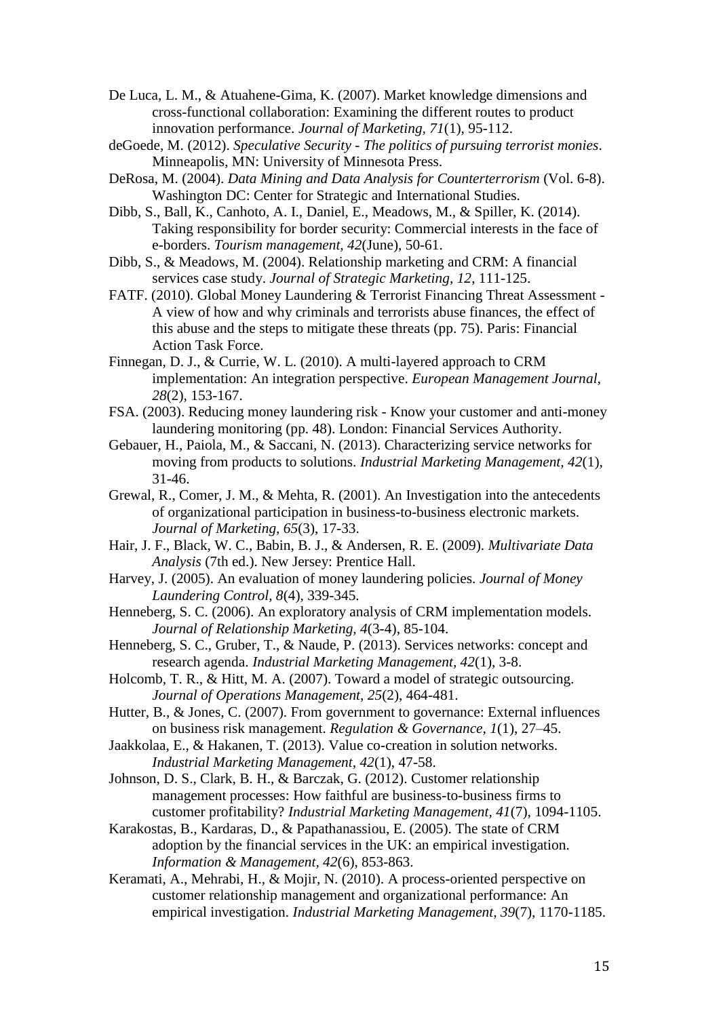- <span id="page-15-15"></span>De Luca, L. M., & Atuahene-Gima, K. (2007). Market knowledge dimensions and cross-functional collaboration: Examining the different routes to product innovation performance. *Journal of Marketing, 71*(1), 95-112.
- <span id="page-15-4"></span>deGoede, M. (2012). *Speculative Security - The politics of pursuing terrorist monies*. Minneapolis, MN: University of Minnesota Press.
- <span id="page-15-7"></span>DeRosa, M. (2004). *Data Mining and Data Analysis for Counterterrorism* (Vol. 6-8). Washington DC: Center for Strategic and International Studies.
- <span id="page-15-3"></span>Dibb, S., Ball, K., Canhoto, A. I., Daniel, E., Meadows, M., & Spiller, K. (2014). Taking responsibility for border security: Commercial interests in the face of e-borders. *Tourism management, 42*(June), 50-61.
- <span id="page-15-10"></span>Dibb, S., & Meadows, M. (2004). Relationship marketing and CRM: A financial services case study. *Journal of Strategic Marketing, 12*, 111-125.
- <span id="page-15-5"></span>FATF. (2010). Global Money Laundering & Terrorist Financing Threat Assessment - A view of how and why criminals and terrorists abuse finances, the effect of this abuse and the steps to mitigate these threats (pp. 75). Paris: Financial Action Task Force.
- <span id="page-15-16"></span>Finnegan, D. J., & Currie, W. L. (2010). A multi-layered approach to CRM implementation: An integration perspective. *European Management Journal, 28*(2), 153-167.
- <span id="page-15-8"></span>FSA. (2003). Reducing money laundering risk - Know your customer and anti-money laundering monitoring (pp. 48). London: Financial Services Authority.
- <span id="page-15-0"></span>Gebauer, H., Paiola, M., & Saccani, N. (2013). Characterizing service networks for moving from products to solutions. *Industrial Marketing Management, 42*(1), 31-46.
- <span id="page-15-14"></span>Grewal, R., Comer, J. M., & Mehta, R. (2001). An Investigation into the antecedents of organizational participation in business-to-business electronic markets. *Journal of Marketing, 65*(3), 17-33.
- <span id="page-15-17"></span>Hair, J. F., Black, W. C., Babin, B. J., & Andersen, R. E. (2009). *Multivariate Data Analysis* (7th ed.). New Jersey: Prentice Hall.
- <span id="page-15-6"></span>Harvey, J. (2005). An evaluation of money laundering policies. *Journal of Money Laundering Control, 8*(4), 339-345.
- <span id="page-15-11"></span>Henneberg, S. C. (2006). An exploratory analysis of CRM implementation models. *Journal of Relationship Marketing, 4*(3-4), 85-104.
- Henneberg, S. C., Gruber, T., & Naude, P. (2013). Services networks: concept and research agenda. *Industrial Marketing Management, 42*(1), 3-8.
- <span id="page-15-1"></span>Holcomb, T. R., & Hitt, M. A. (2007). Toward a model of strategic outsourcing. *Journal of Operations Management, 25*(2), 464-481.
- <span id="page-15-2"></span>Hutter, B., & Jones, C. (2007). From government to governance: External influences on business risk management. *Regulation & Governance, 1*(1), 27–45.
- <span id="page-15-18"></span>Jaakkolaa, E., & Hakanen, T. (2013). Value co-creation in solution networks. *Industrial Marketing Management, 42*(1), 47-58.
- <span id="page-15-9"></span>Johnson, D. S., Clark, B. H., & Barczak, G. (2012). Customer relationship management processes: How faithful are business-to-business firms to customer profitability? *Industrial Marketing Management, 41*(7), 1094-1105.
- <span id="page-15-12"></span>Karakostas, B., Kardaras, D., & Papathanassiou, E. (2005). The state of CRM adoption by the financial services in the UK: an empirical investigation. *Information & Management, 42*(6), 853-863.
- <span id="page-15-13"></span>Keramati, A., Mehrabi, H., & Mojir, N. (2010). A process-oriented perspective on customer relationship management and organizational performance: An empirical investigation. *Industrial Marketing Management, 39*(7), 1170-1185.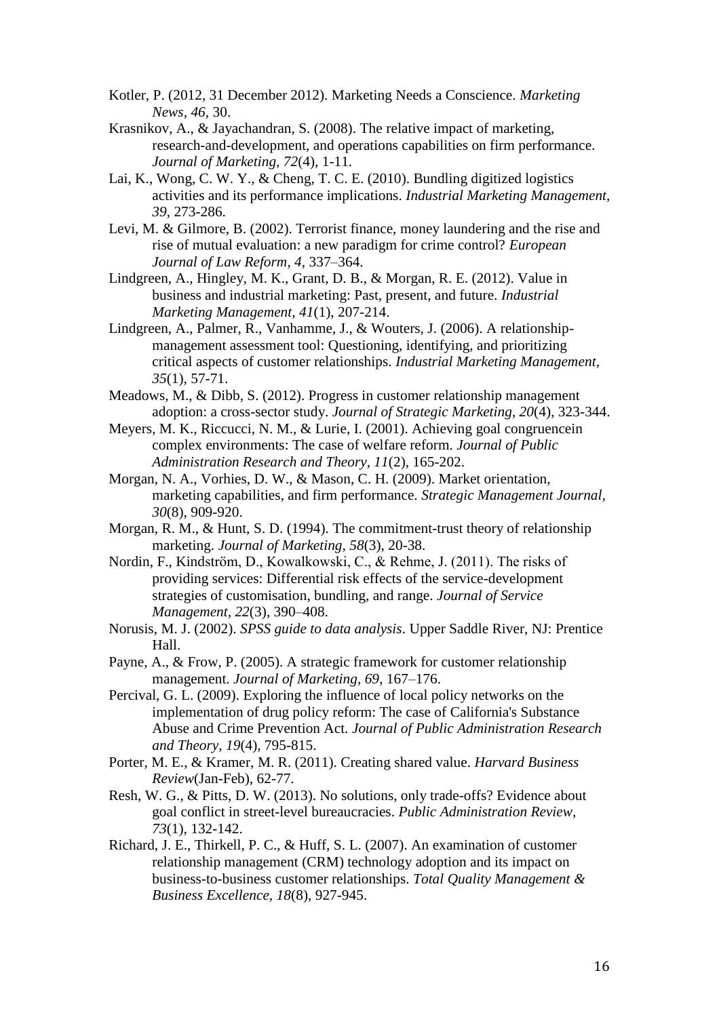- <span id="page-16-12"></span>Kotler, P. (2012, 31 December 2012). Marketing Needs a Conscience. *Marketing News, 46,* 30.
- <span id="page-16-5"></span>Krasnikov, A., & Jayachandran, S. (2008). The relative impact of marketing, research-and-development, and operations capabilities on firm performance. *Journal of Marketing, 72*(4), 1-11.
- <span id="page-16-10"></span>Lai, K., Wong, C. W. Y., & Cheng, T. C. E. (2010). Bundling digitized logistics activities and its performance implications. *Industrial Marketing Management, 39*, 273-286.
- <span id="page-16-4"></span>Levi, M. & Gilmore, B. (2002). Terrorist finance, money laundering and the rise and rise of mutual evaluation: a new paradigm for crime control? *European Journal of Law Reform*, *4*, 337–364.
- Lindgreen, A., Hingley, M. K., Grant, D. B., & Morgan, R. E. (2012). Value in business and industrial marketing: Past, present, and future. *Industrial Marketing Management, 41*(1), 207-214.
- <span id="page-16-7"></span>Lindgreen, A., Palmer, R., Vanhamme, J., & Wouters, J. (2006). A relationshipmanagement assessment tool: Questioning, identifying, and prioritizing critical aspects of customer relationships. *Industrial Marketing Management, 35*(1), 57-71.
- <span id="page-16-9"></span>Meadows, M., & Dibb, S. (2012). Progress in customer relationship management adoption: a cross-sector study. *Journal of Strategic Marketing, 20*(4), 323-344.
- <span id="page-16-3"></span>Meyers, M. K., Riccucci, N. M., & Lurie, I. (2001). Achieving goal congruencein complex environments: The case of welfare reform. *Journal of Public Administration Research and Theory, 11*(2), 165-202.
- Morgan, N. A., Vorhies, D. W., & Mason, C. H. (2009). Market orientation, marketing capabilities, and firm performance. *Strategic Management Journal, 30*(8), 909-920.
- Morgan, R. M., & Hunt, S. D. (1994). The commitment-trust theory of relationship marketing. *Journal of Marketing, 58*(3), 20-38.
- <span id="page-16-13"></span>Nordin, F., Kindström, D., Kowalkowski, C., & Rehme, J. (2011). The risks of providing services: Differential risk effects of the service-development strategies of customisation, bundling, and range. *Journal of Service Management, 22*(3), 390–408.
- <span id="page-16-11"></span>Norusis, M. J. (2002). *SPSS guide to data analysis*. Upper Saddle River, NJ: Prentice Hall.
- <span id="page-16-8"></span>Payne, A., & Frow, P. (2005). A strategic framework for customer relationship management. *Journal of Marketing, 69*, 167–176.
- <span id="page-16-0"></span>Percival, G. L. (2009). Exploring the influence of local policy networks on the implementation of drug policy reform: The case of California's Substance Abuse and Crime Prevention Act. *Journal of Public Administration Research and Theory, 19*(4), 795-815.
- <span id="page-16-1"></span>Porter, M. E., & Kramer, M. R. (2011). Creating shared value. *Harvard Business Review*(Jan-Feb), 62-77.
- <span id="page-16-2"></span>Resh, W. G., & Pitts, D. W. (2013). No solutions, only trade-offs? Evidence about goal conflict in street-level bureaucracies. *Public Administration Review, 73*(1), 132-142.
- <span id="page-16-6"></span>Richard, J. E., Thirkell, P. C., & Huff, S. L. (2007). An examination of customer relationship management (CRM) technology adoption and its impact on business-to-business customer relationships. *Total Quality Management & Business Excellence, 18*(8), 927-945.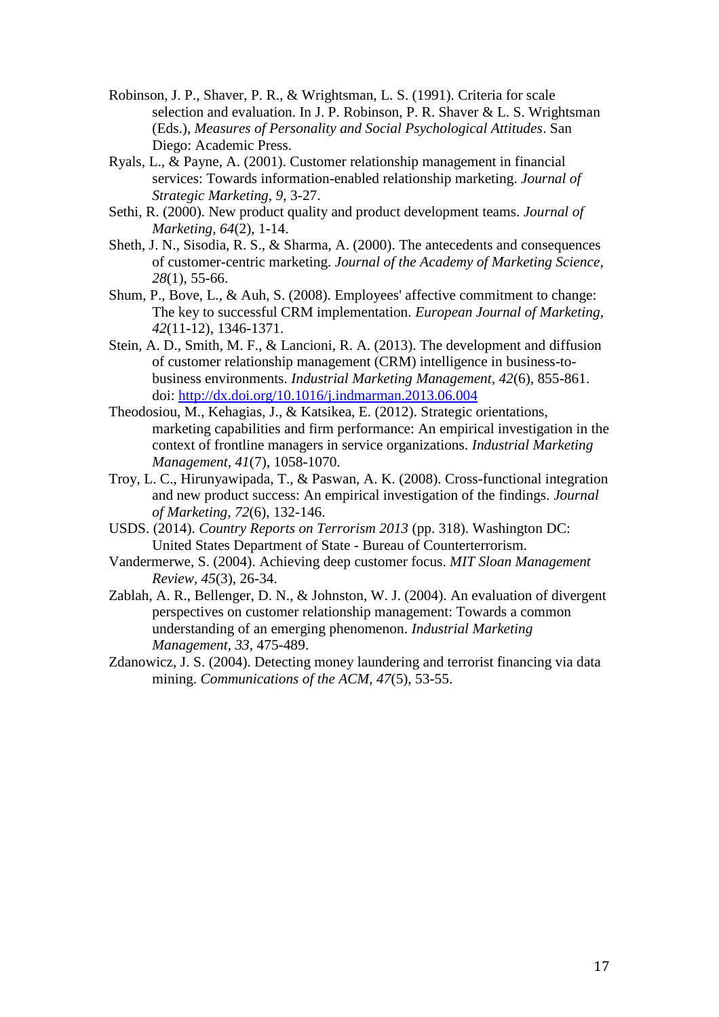- <span id="page-17-11"></span>Robinson, J. P., Shaver, P. R., & Wrightsman, L. S. (1991). Criteria for scale selection and evaluation. In J. P. Robinson, P. R. Shaver & L. S. Wrightsman (Eds.), *Measures of Personality and Social Psychological Attitudes*. San Diego: Academic Press.
- <span id="page-17-3"></span>Ryals, L., & Payne, A. (2001). Customer relationship management in financial services: Towards information-enabled relationship marketing. *Journal of Strategic Marketing, 9*, 3-27.
- <span id="page-17-9"></span>Sethi, R. (2000). New product quality and product development teams. *Journal of Marketing, 64*(2), 1-14.
- <span id="page-17-4"></span>Sheth, J. N., Sisodia, R. S., & Sharma, A. (2000). The antecedents and consequences of customer-centric marketing. *Journal of the Academy of Marketing Science, 28*(1), 55-66.
- <span id="page-17-8"></span>Shum, P., Bove, L., & Auh, S. (2008). Employees' affective commitment to change: The key to successful CRM implementation. *European Journal of Marketing, 42*(11-12), 1346-1371.
- <span id="page-17-5"></span>Stein, A. D., Smith, M. F., & Lancioni, R. A. (2013). The development and diffusion of customer relationship management (CRM) intelligence in business-tobusiness environments. *Industrial Marketing Management, 42*(6), 855-861. doi:<http://dx.doi.org/10.1016/j.indmarman.2013.06.004>
- <span id="page-17-0"></span>Theodosiou, M., Kehagias, J., & Katsikea, E. (2012). Strategic orientations, marketing capabilities and firm performance: An empirical investigation in the context of frontline managers in service organizations. *Industrial Marketing Management, 41*(7), 1058-1070.
- <span id="page-17-10"></span>Troy, L. C., Hirunyawipada, T., & Paswan, A. K. (2008). Cross-functional integration and new product success: An empirical investigation of the findings. *Journal of Marketing, 72*(6), 132-146.
- <span id="page-17-1"></span>USDS. (2014). *Country Reports on Terrorism 2013* (pp. 318). Washington DC: United States Department of State - Bureau of Counterterrorism.
- <span id="page-17-7"></span>Vandermerwe, S. (2004). Achieving deep customer focus. *MIT Sloan Management Review, 45*(3), 26-34.
- <span id="page-17-6"></span>Zablah, A. R., Bellenger, D. N., & Johnston, W. J. (2004). An evaluation of divergent perspectives on customer relationship management: Towards a common understanding of an emerging phenomenon. *Industrial Marketing Management, 33*, 475-489.
- <span id="page-17-2"></span>Zdanowicz, J. S. (2004). Detecting money laundering and terrorist financing via data mining. *Communications of the ACM, 47*(5), 53-55.